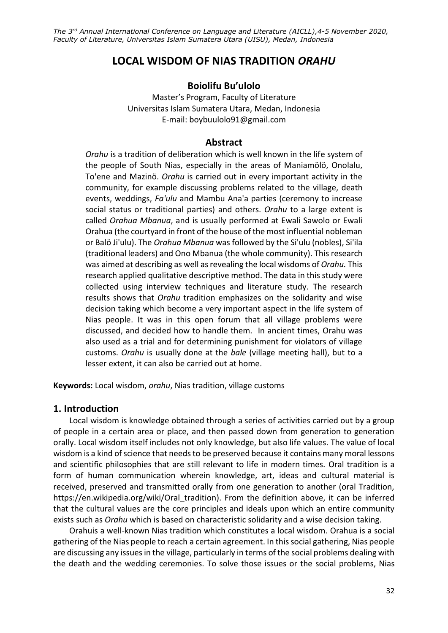# **LOCAL WISDOM OF NIAS TRADITION** *ORAHU*

## **Boiolifu Bu'ulolo**

Master's Program, Faculty of Literature Universitas Islam Sumatera Utara, Medan, Indonesia E-mail[: boybuulolo91@gmail.com](mailto:boybuulolo91@gmail.com)

#### **Abstract**

*Orahu* is a tradition of deliberation which is well known in the life system of the people of South Nias, especially in the areas of Maniamölö, Onolalu, To'ene and Mazinö. *Orahu* is carried out in every important activity in the community, for example discussing problems related to the village, death events, weddings, *Fa'ulu* and Mambu Ana'a parties (ceremony to increase social status or traditional parties) and others. *Orahu* to a large extent is called *Orahua Mbanua*, and is usually performed at Ewali Sawolo or Ewali Orahua (the courtyard in front of the house of the most influential nobleman or Balö Ji'ulu). The *Orahua Mbanua* was followed by the Si'ulu (nobles), Si'ila (traditional leaders) and Ono Mbanua (the whole community). This research was aimed at describing as well as revealing the local wisdoms of *Orahu.* This research applied qualitative descriptive method. The data in this study were collected using interview techniques and literature study. The research results shows that *Orahu* tradition emphasizes on the solidarity and wise decision taking which become a very important aspect in the life system of Nias people. It was in this open forum that all village problems were discussed, and decided how to handle them. In ancient times, Orahu was also used as a trial and for determining punishment for violators of village customs. *Orahu* is usually done at the *bale* (village meeting hall), but to a lesser extent, it can also be carried out at home.

**Keywords:** Local wisdom, *orahu*, Nias tradition, village customs

#### **1. Introduction**

Local wisdom is knowledge obtained through a series of activities carried out by a group of people in a certain area or place, and then passed down from generation to generation orally. Local wisdom itself includes not only knowledge, but also life values. The value of local wisdom is a kind of science that needs to be preserved because it contains many moral lessons and scientific philosophies that are still relevant to life in modern times. Oral tradition is a form of human [communication](https://en.wikipedia.org/wiki/Communication) wherein knowledge, art, ideas and cultural material is received, preserved and transmitted orally from one generation to another (oral Tradition, [https://en.wikipedia.org/wiki/Oral\\_tradition\)](https://en.wikipedia.org/wiki/Oral_tradition). From the definition above, it can be inferred that the cultural values are the core principles and ideals upon which an entire community exists such as *Orahu* which is based on characteristic solidarity and a wise decision taking.

Orahuis a well-known Nias tradition which constitutes a local wisdom. Orahua is a social gathering of the Nias people to reach a certain agreement. In this social gathering, Nias people are discussing any issues in the village, particularly in terms of the social problems dealing with the death and the wedding ceremonies. To solve those issues or the social problems, Nias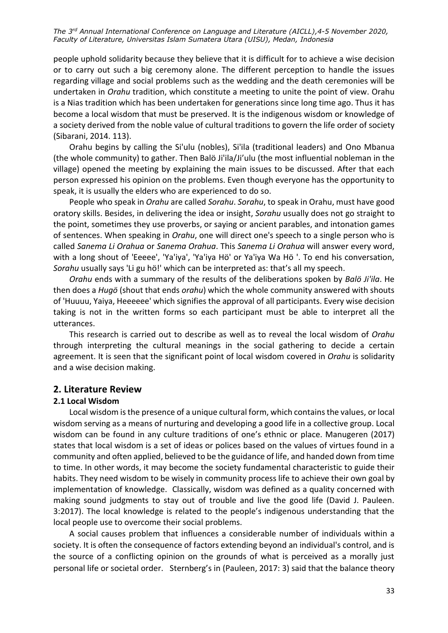people uphold solidarity because they believe that it is difficult for to achieve a wise decision or to carry out such a big ceremony alone. The different perception to handle the issues regarding village and social problems such as the wedding and the death ceremonies will be undertaken in *Orahu* tradition, which constitute a meeting to unite the point of view. Orahu is a Nias tradition which has been undertaken for generations since long time ago. Thus it has become a local wisdom that must be preserved. It is the indigenous wisdom or knowledge of a society derived from the noble value of cultural traditions to govern the life order of society (Sibarani, 2014. 113).

Orahu begins by calling the Si'ulu (nobles), Si'ila (traditional leaders) and Ono Mbanua (the whole community) to gather. Then Balö Ji'ila/Ji'ulu (the most influential nobleman in the village) opened the meeting by explaining the main issues to be discussed. After that each person expressed his opinion on the problems. Even though everyone has the opportunity to speak, it is usually the elders who are experienced to do so.

People who speak in *Orahu* are called *Sorahu*. *Sorahu*, to speak in Orahu, must have good oratory skills. Besides, in delivering the idea or insight, *Sorahu* usually does not go straight to the point, sometimes they use proverbs, or saying or ancient parables, and intonation games of sentences. When speaking in *Orahu*, one will direct one's speech to a single person who is called *Sanema Li Orahua* or *Sanema Orahua*. This *Sanema Li Orahua* will answer every word, with a long shout of 'Eeeee', 'Ya'iya', 'Ya'iya Hö' or Ya'iya Wa Hö '. To end his conversation, *Sorahu* usually says 'Li gu hö!' which can be interpreted as: that's all my speech.

*Orahu* ends with a summary of the results of the deliberations spoken by *Balö Ji'ila*. He then does a *Hugö* (shout that ends *orahu*) which the whole community answered with shouts of 'Huuuu, Yaiya, Heeeeee' which signifies the approval of all participants. Every wise decision taking is not in the written forms so each participant must be able to interpret all the utterances.

This research is carried out to describe as well as to reveal the local wisdom of *Orahu* through interpreting the cultural meanings in the social gathering to decide a certain agreement. It is seen that the significant point of local wisdom covered in *Orahu* is solidarity and a wise decision making.

#### **2. Literature Review**

#### **2.1 Local Wisdom**

Local wisdom is the presence of a unique cultural form, which contains the values, or local wisdom serving as a means of nurturing and developing a good life in a collective group. Local wisdom can be found in any culture traditions of one's ethnic or place. Manugeren (2017) states that local wisdom is a set of ideas or polices based on the values of virtues found in a community and often applied, believed to be the guidance of life, and handed down from time to time. In other words, it may become the society fundamental characteristic to guide their habits. They need wisdom to be wisely in community process life to achieve their own goal by implementation of knowledge. Classically, wisdom was defined as a quality concerned with making sound judgments to stay out of trouble and live the good life (David J. Pauleen. 3:2017). The local knowledge is related to the people's indigenous understanding that the local people use to overcome their social problems.

A social causes problem that influences a considerable number of individuals within a society. It is often the consequence of factors extending beyond an individual's control, and is the source of a conflicting opinion on the grounds of what is perceived as a morally just personal life or societal order. Sternberg's in (Pauleen, 2017: 3) said that the balance theory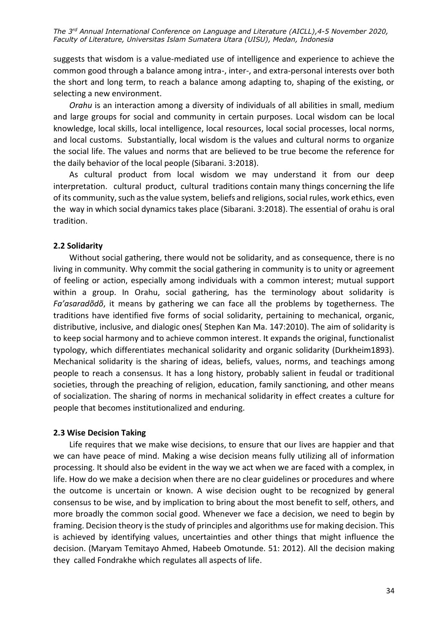suggests that wisdom is a value-mediated use of intelligence and experience to achieve the common good through a balance among intra-, inter-, and extra-personal interests over both the short and long term, to reach a balance among adapting to, shaping of the existing, or selecting a new environment.

*Orahu* is an interaction among a diversity of individuals of all abilities in small, medium and large groups for social and community in certain purposes. Local wisdom can be local knowledge, local skills, local intelligence, local resources, local social processes, local norms, and local customs. Substantially, local wisdom is the values and cultural norms to organize the social life. The values and norms that are believed to be true become the reference for the daily behavior of the local people (Sibarani. 3:2018).

As cultural product from local wisdom we may understand it from our deep interpretation. cultural product, cultural traditions contain many things concerning the life of its community, such as the value system, beliefs and religions, social rules, work ethics, even the way in which social dynamics takes place (Sibarani. 3:2018). The essential of orahu is oral tradition.

## **2.2 Solidarity**

Without social gathering, there would not be solidarity, and as consequence, there is no living in community. Why commit the social gathering in community is to unity or agreement of feeling or action, especially among individuals with a common interest; mutual support within a group. In Orahu, social gathering, has the terminology about solidarity is *Fa'asaradõdõ*, it means by gathering we can face all the problems by togetherness. The traditions have identified five forms of social solidarity, pertaining to mechanical, organic, distributive, inclusive, and dialogic ones( Stephen Kan Ma. 147:2010). The aim of solidarity is to keep social harmony and to achieve common interest. It expands the original, functionalist typology, which differentiates mechanical solidarity and organic solidarity (Durkheim1893). Mechanical solidarity is the sharing of ideas, beliefs, values, norms, and teachings among people to reach a consensus. It has a long history, probably salient in feudal or traditional societies, through the preaching of religion, education, family sanctioning, and other means of socialization. The sharing of norms in mechanical solidarity in effect creates a culture for people that becomes institutionalized and enduring.

## **2.3 Wise Decision Taking**

Life requires that we make wise decisions, to ensure that our lives are happier and that we can have peace of mind. Making a wise decision means fully utilizing all of information processing. It should also be evident in the way we act when we are faced with a complex, in life. How do we make a decision when there are no clear guidelines or procedures and where the outcome is uncertain or known. A wise decision ought to be recognized by general consensus to be wise, and by implication to bring about the most benefit to self, others, and more broadly the common social good. Whenever we face a decision, we need to begin by framing. Decision theory is the study of principles and algorithms use for making decision. This is achieved by identifying values, uncertainties and other things that might influence the decision. (Maryam Temitayo Ahmed, Habeeb Omotunde. 51: 2012). All the decision making they called Fondrakhe which regulates all aspects of life.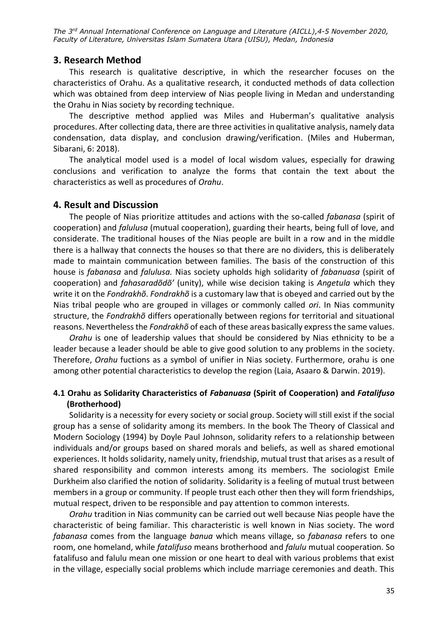## **3. Research Method**

This research is qualitative descriptive, in which the researcher focuses on the characteristics of Orahu. As a qualitative research, it conducted methods of data collection which was obtained from deep interview of Nias people living in Medan and understanding the Orahu in Nias society by recording technique.

The descriptive method applied was Miles and Huberman's qualitative analysis procedures. After collecting data, there are three activities in qualitative analysis, namely data condensation, data display, and conclusion drawing/verification. (Miles and Huberman, Sibarani, 6: 2018).

The analytical model used is a model of local wisdom values, especially for drawing conclusions and verification to analyze the forms that contain the text about the characteristics as well as procedures of *Orahu*.

### **4. Result and Discussion**

The people of Nias prioritize attitudes and actions with the so-called *fabanasa* (spirit of cooperation) and *falulusa* (mutual cooperation), guarding their hearts, being full of love, and considerate. The traditional houses of the Nias people are built in a row and in the middle there is a hallway that connects the houses so that there are no dividers, this is deliberately made to maintain communication between families. The basis of the construction of this house is *fabanasa* and *falulusa.* Nias society upholds high solidarity of *fabanuasa* (spirit of cooperation) and *fahasaradõdõ'* (unity), while wise decision taking is *Angetula* which they write it on the *Fondrakhõ*. *Fondrakhõ* is a customary law that is obeyed and carried out by the Nias tribal people who are grouped in villages or commonly called *ori*. In Nias community structure, the *Fondrakhõ* differs operationally between regions for territorial and situational reasons. Nevertheless the *Fondrakhõ* of each of these areas basically express the same values.

*Orahu* is one of leadership values that should be considered by Nias ethnicity to be a leader because a leader should be able to give good solution to any problems in the society. Therefore, *Orahu* fuctions as a symbol of unifier in Nias society. Furthermore, orahu is one among other potential characteristics to develop the region (Laia, Asaaro & Darwin. 2019).

## **4.1 Orahu as Solidarity Characteristics of** *Fabanuasa* **(Spirit of Cooperation) and** *Fatalifuso* **(Brotherhood)**

Solidarity is a necessity for every society or social group. Society will still exist if the social group has a sense of solidarity among its members. In the book The Theory of Classical and Modern Sociology (1994) by Doyle Paul Johnson, solidarity refers to a relationship between individuals and/or groups based on shared morals and beliefs, as well as shared emotional experiences. It holds solidarity, namely unity, friendship, mutual trust that arises as a result of shared responsibility and common interests among its members. The sociologist Emile Durkheim also clarified the notion of solidarity. Solidarity is a feeling of mutual trust between members in a group or community. If people trust each other then they will form friendships, mutual respect, driven to be responsible and pay attention to common interests.

*Orahu* tradition in Nias community can be carried out well because Nias people have the characteristic of being familiar. This characteristic is well known in Nias society. The word *fabanasa* comes from the language *banua* which means village, so *fabanasa* refers to one room, one homeland, while *fatalifuso* means brotherhood and *falulu* mutual cooperation. So fatalifuso and falulu mean one mission or one heart to deal with various problems that exist in the village, especially social problems which include marriage ceremonies and death. This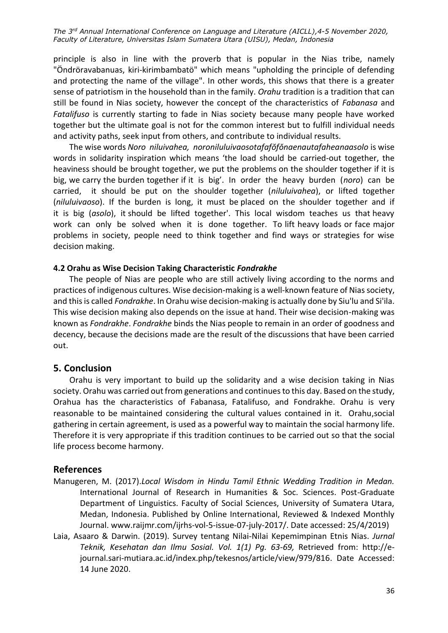principle is also in line with the proverb that is popular in the Nias tribe, namely "Öndröravabanuas, kiri-kirimbambatö" which means "upholding the principle of defending and protecting the name of the village". In other words, this shows that there is a greater sense of patriotism in the household than in the family. *Orahu* tradition is a tradition that can still be found in Nias society, however the concept of the characteristics of *Fabanasa* and *Fatalifuso* is currently starting to fade in Nias society because many people have worked together but the ultimate goal is not for the common interest but to fulfill individual needs and activity paths, seek input from others, and contribute to individual results.

The wise words *Noro niluivahea, noroniluluivaosotafafŏfŏnaenautafaheanaasolo* is wise words in solidarity inspiration which means 'the load should be carried-out together, the heaviness should be brought together, we put the problems on the shoulder together if it is big, we carry the burden together if it is big'. In order the heavy burden (*noro*) can be carried, it should be put on the shoulder together (*niluluivahea*), or lifted together (*niluluivaoso*). If the burden is long, it must be placed on the shoulder together and if it is big (*asolo*), it should be lifted together'. This local wisdom teaches us that heavy work can only be solved when it is done together. To lift heavy loads or face major problems in society, people need to think together and find ways or strategies for wise decision making.

#### **4.2 Orahu as Wise Decision Taking Characteristic** *Fondrakhe*

The people of Nias are people who are still actively living according to the norms and practices of indigenous cultures. Wise decision-making is a well-known feature of Nias society, and this is called *Fondrakhe*. In Orahu wise decision-making is actually done by Siu'lu and Si'ila. This wise decision making also depends on the issue at hand. Their wise decision-making was known as *Fondrakhe*. *Fondrakhe* binds the Nias people to remain in an order of goodness and decency, because the decisions made are the result of the discussions that have been carried out.

### **5. Conclusion**

Orahu is very important to build up the solidarity and a wise decision taking in Nias society. Orahu was carried out from generations and continues to this day. Based on the study, Orahua has the characteristics of Fabanasa, Fatalifuso, and Fondrakhe. Orahu is very reasonable to be maintained considering the cultural values contained in it. Orahu,social gathering in certain agreement, is used as a powerful way to maintain the social harmony life. Therefore it is very appropriate if this tradition continues to be carried out so that the social life process become harmony.

### **References**

- Manugeren, M. (2017).*Local Wisdom in Hindu Tamil Ethnic Wedding Tradition in Medan.* International Journal of Research in Humanities & Soc. Sciences. Post-Graduate Department of Linguistics. Faculty of Social Sciences, University of Sumatera Utara, Medan, Indonesia. Published by Online International, Reviewed & Indexed Monthly Journal. www.raijmr.com/ijrhs-vol-5-issue-07-july-2017/. Date accessed: 25/4/2019)
- Laia, Asaaro & Darwin. (2019). Survey tentang Nilai-Nilai Kepemimpinan Etnis Nias. *Jurnal Teknik, Kesehatan dan Ilmu Sosial. Vol. 1(1) Pg. 63-69,* Retrieved from: [http://e](http://e-journal.sari-mutiara.ac.id/index.php/tekesnos/article/view/979/816)[journal.sari-mutiara.ac.id/index.php/tekesnos/article/view/979/816.](http://e-journal.sari-mutiara.ac.id/index.php/tekesnos/article/view/979/816) Date Accessed: 14 June 2020.